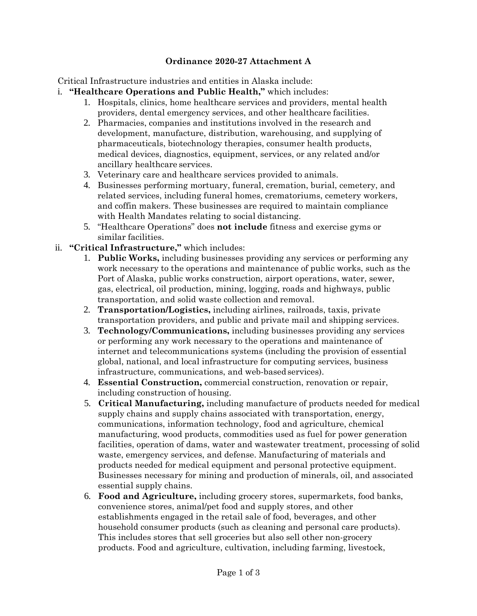## **Ordinance 2020-27 Attachment A**

Critical Infrastructure industries and entities in Alaska include:

- i. **"Healthcare Operations and Public Health,"** which includes:
	- 1. Hospitals, clinics, home healthcare services and providers, mental health providers, dental emergency services, and other healthcare facilities.
	- 2. Pharmacies, companies and institutions involved in the research and development, manufacture, distribution, warehousing, and supplying of pharmaceuticals, biotechnology therapies, consumer health products, medical devices, diagnostics, equipment, services, or any related and/or ancillary healthcare services.
	- 3. Veterinary care and healthcare services provided to animals.
	- 4. Businesses performing mortuary, funeral, cremation, burial, cemetery, and related services, including funeral homes, crematoriums, cemetery workers, and coffin makers. These businesses are required to maintain compliance with Health Mandates relating to social distancing.
	- 5. "Healthcare Operations" does **not include** fitness and exercise gyms or similar facilities.
- ii. **"Critical Infrastructure,"** which includes:
	- 1. **Public Works,** including businesses providing any services or performing any work necessary to the operations and maintenance of public works, such as the Port of Alaska, public works construction, airport operations, water, sewer, gas, electrical, oil production, mining, logging, roads and highways, public transportation, and solid waste collection and removal.
	- 2. **Transportation/Logistics,** including airlines, railroads, taxis, private transportation providers, and public and private mail and shipping services.
	- 3. **Technology/Communications,** including businesses providing any services or performing any work necessary to the operations and maintenance of internet and telecommunications systems (including the provision of essential global, national, and local infrastructure for computing services, business infrastructure, communications, and web-based services).
	- 4. **Essential Construction,** commercial construction, renovation or repair, including construction of housing.
	- 5. **Critical Manufacturing,** including manufacture of products needed for medical supply chains and supply chains associated with transportation, energy, communications, information technology, food and agriculture, chemical manufacturing, wood products, commodities used as fuel for power generation facilities, operation of dams, water and wastewater treatment, processing of solid waste, emergency services, and defense. Manufacturing of materials and products needed for medical equipment and personal protective equipment. Businesses necessary for mining and production of minerals, oil, and associated essential supply chains.
	- 6. **Food and Agriculture,** including grocery stores, supermarkets, food banks, convenience stores, animal/pet food and supply stores, and other establishments engaged in the retail sale of food, beverages, and other household consumer products (such as cleaning and personal care products). This includes stores that sell groceries but also sell other non-grocery products. Food and agriculture, cultivation, including farming, livestock,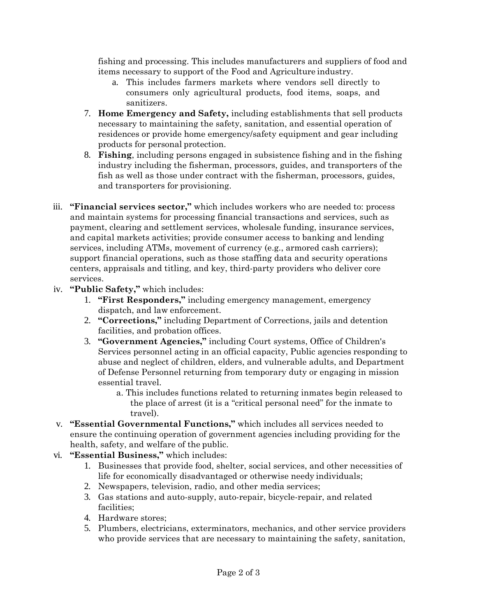fishing and processing. This includes manufacturers and suppliers of food and items necessary to support of the Food and Agriculture industry.

- a. This includes farmers markets where vendors sell directly to consumers only agricultural products, food items, soaps, and sanitizers.
- 7. **Home Emergency and Safety,** including establishments that sell products necessary to maintaining the safety, sanitation, and essential operation of residences or provide home emergency/safety equipment and gear including products for personal protection.
- 8. **Fishing**, including persons engaged in subsistence fishing and in the fishing industry including the fisherman, processors, guides, and transporters of the fish as well as those under contract with the fisherman, processors, guides, and transporters for provisioning.
- iii. **"Financial services sector,"** which includes workers who are needed to: process and maintain systems for processing financial transactions and services, such as payment, clearing and settlement services, wholesale funding, insurance services, and capital markets activities; provide consumer access to banking and lending services, including ATMs, movement of currency (e.g., armored cash carriers); support financial operations, such as those staffing data and security operations centers, appraisals and titling, and key, third-party providers who deliver core services.
- iv. **"Public Safety,"** which includes:
	- 1. **"First Responders,"** including emergency management, emergency dispatch, and law enforcement.
	- 2. **"Corrections,"** including Department of Corrections, jails and detention facilities, and probation offices.
	- 3. **"Government Agencies,"** including Court systems, Office of Children's Services personnel acting in an official capacity, Public agencies responding to abuse and neglect of children, elders, and vulnerable adults, and Department of Defense Personnel returning from temporary duty or engaging in mission essential travel.
		- a. This includes functions related to returning inmates begin released to the place of arrest (it is a "critical personal need" for the inmate to travel).
- v. **"Essential Governmental Functions,"** which includes all services needed to ensure the continuing operation of government agencies including providing for the health, safety, and welfare of the public.
- vi. **"Essential Business,"** which includes:
	- 1. Businesses that provide food, shelter, social services, and other necessities of life for economically disadvantaged or otherwise needy individuals;
	- 2. Newspapers, television, radio, and other media services;
	- 3. Gas stations and auto-supply, auto-repair, bicycle-repair, and related facilities;
	- 4. Hardware stores;
	- 5. Plumbers, electricians, exterminators, mechanics, and other service providers who provide services that are necessary to maintaining the safety, sanitation,